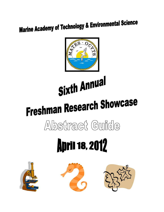### **Marine Academy of Technology & Environmental Science**



# Sixth Annual

# **Freshman Research Showcase**

### Abstract Guilde

## **April 18, 2012**





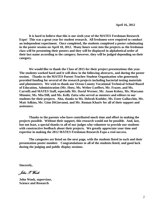**It is hard to believe that this is our sixth year of the MATES Freshman Research Expo! This was a great year for student research. All freshmen were required to conduct an independent experiment. Once completed, the students completed a poster culminating in the poster session on April 18, 2012. Many hours went into the projects as the freshman class will be presenting their posters and they will be displayed in alphabetical order of their last name according to the category; however, they will be judged depending on their category.** 

**We would like to thank the Class of 2015 for their project presentations this year. The students worked hard and it will show in the following abstracts, and during the poster session. Thanks to the MATES Parent-Teacher-Student Organization who generously provided funding for several of the research projects including bacterial testing materials and photometers. We wish to thank our Ocean County Vocational Technical School Board of Education, Administration (Mr. Hoey, Ms. Weber-Loeffert, Mr. Frazee, and Ms. Carroll) and MATES Staff, especially Mr. David Werner, Mr. Jason Kelsey, Ms. Maryann Minnier, Ms. Mia Dill, and Ms. Kelly Zatta who served as mentors and editors to our students for their projects. Also, thanks to Ms. Debrah Koehler, Ms. Ester Gallacchio, Mr. Matt Adkins, Mr. Gino DiGiovanni, and Mr. Roman Khariv for all of their support and assistance.** 

**Thanks to the parents who have contributed much time and effort in making the projects possible. Without their support, this research would not be possible. And, last, but not least, a special thanks to all of our judges who volunteer to provide our students with constructive feedback about their projects. We greatly appreciate your time and expertise in making the 2012 MATES Freshman Research Expo a real success.** 

**The categories are listed on the next page, with the students listed in each and their presentation poster number. Congratulations to all of the students listed, and good luck during the judging and public display sessions.** 

**Sincerely,**

*John P, Wnek* 

**John Wnek, supervisor, Science and Research**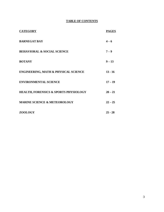### **TABLE OF CONTENTS**

| <b>CATEGORY</b>                                  | <b>PAGES</b> |
|--------------------------------------------------|--------------|
| <b>BARNEGAT BAY</b>                              | $4 - 6$      |
| <b>BEHAVIORAL &amp; SOCIAL SCIENCE</b>           | $7 - 9$      |
| <b>BOTANY</b>                                    | $9 - 13$     |
| <b>ENGINEERING, MATH &amp; PHYSICAL SCIENCE</b>  | $13 - 16$    |
| <b>ENVIRONMENTAL SCIENCE</b>                     | $17 - 19$    |
| <b>HEALTH, FORENSICS &amp; SPORTS PHYSIOLOGY</b> | $20 - 21$    |
| <b>MARINE SCIENCE &amp; METEOROLOGY</b>          | $22 - 25$    |
| <b>ZOOLOGY</b>                                   | $25 - 28$    |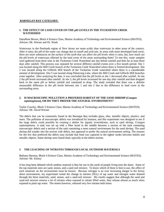### **BARNEGAT BAY CATEGORY:**

### **1. THE EFFECT OF LAND COVER ON THE pH LEVELS IN THE TUCKERTON CREEK WATERSHED**

DanaRose Brown, Block 4 Science Class, Marine Academy of Technology and Environmental Science (MATES), Advisor: Mr. Werner and Dr. Wnek

Waterways in the Pinelands region of New Jersey are more acidic than waterways in other areas of the country. After it rains, the pH of the water can change due to runoff and acid rain. In areas with more developed land cover, there are more substances on the surface of the earth that can affect the pH levels when it rains, but, how much are the pH levels of waterways affected by the land cover of the areas surrounding them? To test this, water samples were gathered from three sites in the Tuckerton Creek Watershed one day before rainfall and then for at least three days after rainfall. This process was repeated for several different rainfall events over a five month period. Site 1 was located along the Mill Creek branch of the Tuckerton Creek Watershed where there is limited development. Site 2 was located along the Giffords Mill branch of the Tuckerton Creek watershed where there is a considerable amount of development. Site 3 was located along Pohatcong Lake, where the Mill Creek and Giffords Mill branches come together. After analyzing the data, it was concluded that the pH levels at site 1 decreased after rainfall. At site 2 the pH levels increased after rainfall. At site 3, the pH levels increased for one day after rainfall and then dropped back to the same pH as before rainfall and continued to drop. The study revealed that there was a definite measurable difference in the pH levels between site 1 and site 2 due to the difference in land cover in the surrounding areas.

### **2. IS MACROSCOPIC POLLUTION A PREFERED HABITAT OF THE SAND SHRIMP (***Crangon septemspinosa***), OR DO THEY PREFER THE NATURAL ENVIRONMENT?**

Taylor Crawley, Block 3 Science Class, Marine Academy of Technology and Environmental Science (MATES). Advisor: Mr. David Werner

The debris that can be commonly found in the Barnegat Bay includes glass, tiles, metallic objects, plastics, and more. The pollution of macroscopic debris was introduced by humans, and this experiment was designed to see if the large debris could possibly be creating a shelter for aquatic invertebrates, such as sand shrimp, *Crangon septemspinosa.* A tank was set up with a filter laced in the middle between a section of the tank containing macroscopic debris and a section of the tank containing a more natural environment for the sand shrimp. The sand shrimp did wander into the section with debris, but appeared to prefer the natural environment setting. The reasons for the few that preferred the debris may include that food was captured in the tighter nooks between bottles and metallic objects. Some shrimp were found dead, typically in the debris section.

### **3 THE LEACHING OF NITRATES THROUGH LOCAL OUTDOOR MATERIALS**

Bethany Hartney, Block 4 Science Class, Marine Academy of Technology and Environmental Science (MATES), Advisor: Mr. Kelsey

It has long been debated which outdoor material is best for use in the yards of people living near the shore. Some of the top materials seen are sand, stones, and a sand-soil mixture. To know which of these is best to use, the affect of each materials on the environment must be known. Because nitrogen is an ever increasing danger to the Jersey shore environment, my experiment tested the change in nitrates  $(NO<sub>3</sub>)$  of tap water and nitrogen water drained through the three materials, sand, stones, and a sand-soil mixture. My results suggest that although the sand and sand-soil mixture remove a lot of nitrates when exposed to nitrate filled water, they release almost as much when exposed to plain tap water. The stones however, released very few nitrates both times.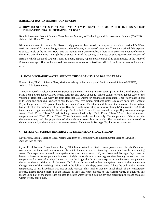### **BARNEGAT BAY CATEGORY (CONTINUED)**

### **4. HOW DO NITRATES THAT ARE TYPICALLY PRESENT IN COMMON FERTILIZERS AFFECT THE INVERTEBRATES OF BARNEGAT BAY?**

Kamile Lukosiute, Block 4 Science Class, Marine Academy of Technology and Environmental Science (MATES), Advisor: Mr. David Werner

Nitrates are present in common fertilizers to help promote plant growth, but they may be toxic to marine life. When fertilizers are used for plants that grow near bodies of water, it can run off after rain. Then, the marine life is exposed to excess levels of the nitrates. How toxic the nitrates are is unknown, but if there is an excessive amount of them in the water, then the marine life might be poisoned. I tested the toxicity of nitrates by placing measured amounts of fertilizer which contained 0.7ppm, 7ppm, 17.5ppm, 35ppm, 70ppm and a control of no extra nitrates in the water of *Paleamonetes spp*. The results showed that excessive amounts of fertilizer will kill the invertebrates and are thus toxic.

### **5. HOW DISCHARGE WATER AFFECTS THE ORGANISMS OF BARNEGAT BAY**

Edmund Pan, Block 1 Science Class, Marine Academy of Technology and Environmental Science (MATES), Advisor: Mr. Jason Kelsey

The Oyster Creek Nuclear Generation Station is the oldest running nuclear power plant in the United States. This plant alone powers about 600,000 homes each day and draws about 1.4 billion gallons of water (about 2.8% of the volume of Barnegat Bay) every day from Barnegat Bay waters for cooling and circulation. This water takes in and kills larvae and eggs small enough to pass the screens. Even worse, discharge water is released back into Barnegat Bay at temperatures 23°F greater than the surrounding water. To determine if this constant increase of temperature has an effect on the organisms of Barnegat Bay, three tanks were set up with shore shrimp (*Palaemonetes sp.*). Each tank contained approximately twelve shrimp. The first tank, "Tank 1", represented Barnegat Bay without discharge water. "Tank 2" and "Tank 3" had discharge water added daily. "Tank 1" and "Tank 2" were kept at summer temperatures and "Tank 2" and "Tank 3" had hot water added to them daily. The temperature of the water, the discharge water, and the population of shore shrimp were observed daily. This experiment was created to demonstrate the hypothesis that a spontaneous release of hot water in Barnegat Bay harms its organisms.

### 6. **EFFECT OF SUDDEN TEMPERATURE INCREASE ON SHORE SHRIMP**

Dawn Parry, Block 1 Science Class, Marine Academy of Technology and Environmental Science (MATES), Advisor: Mr. Werner

Oyster Creek Nuclear Power Plant in Lacey, NJ, takes in water from Oyster Creek, passes it over the plant's nuclear reactors to cool them, and then releases it back into the creek, ten to fifteen degrees warmer than the surrounding water. This experiment showed the negative effects of this process on Oyster Creek and Barnegat Bay. I used a heater to increase the temperature in a tank of eight shore shrimp by ten degrees after leaving the tank at room temperature for twenty-four days. I theorized that the longer the shrimp were exposed to the increased temperature, the worse their condition would become. Half of the shrimp died within twenty-four hours of the temperature change. None of the surviving shrimp died in the following six days, even though I kept the tank at that warmer temperature, so my hypothesis was not entirely correct. This implies that the initial shock of the temperature increase affects shrimp more than the amount of time they were exposed to the warmer water. In addition, this means up to half of the marine life exposed to heated water flowing into the bay and creek from the plant could die within twenty-four hours.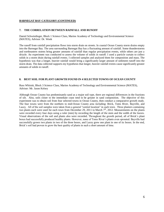### **BARNEGAT BAY CATEGORY (CONTINUED)**

### **7. THE CORRELATION BETWEEN RAINFALL AND RUNOFF**

Daniel Schwindinger, Block 1 Science Class, Marine Academy of Technology and Environmental Science (MATES), Advisor: Dr. Wnek

The runoff from rainfall precipitation flows into storm drain on streets. In coastal Ocean County storm drains empty into the Barnegat Bay. The area surrounding Barnegat Bay has a fluctuating amount of rainfall. Some thunderstorms and northeastern storms bring greater amounts of rainfall than regular precipitation events, while others are just a drizzle. An experiment was conducted to assess the volume of solids in runoff. I used a particle curtain to collect solids in a storm drain during rainfall events. I collected samples and analyzed them for composition and mass. The hypothesis was that a longer, heavier rainfall would bring a significantly larger amount of sediment runoff into the storm drain. The data collected supports my hypothesis that longer, heavier rainfall events cause significantly greater amounts of solids in runoff.

### **8. BEST SOIL FOR PLANT GROWTH FOUND IN 4 SELECTED TOWNS OF OCEAN COUNTY**

Russ Whitsitt, Block 3 Science Class, Marine Academy of Technology and Environmental Science (MATES), Advisor: Mr. Jason Kelsey

Although Ocean County has predominantly sand as a major soil type, there are regional differences in the fractions of silt. Also, soils closer to the immediate coast tend to be greater in sand composition. The objective of this experiment was to obtain soil from four selected towns in Ocean County, then conduct a comparative growth study. The four towns were from the northern to mid-Ocean County area including: Brick, Toms River, Bayville, and Lacey. All of the soil samples were taken from a general "central location" in each town. Three planters containing two plants each were used for each town from December 29, 2011 to March  $7<sup>th</sup>$ , 2012. Measurements on the plants were recorded every four days using a ruler (mm) by recording the length of the stem and the width of the leaves. Visual observations of the soil and plants also were recorded. Throughout the growth period, all of Brick's plant boxes had successfully produced healthy plants. However, none of Toms River's plants even sprouted. Bayville had successfully grown two plants in two of the three boxes, and Lacey grew one plant in one of its boxes. In the end, Brick's soil had proven to grow the best quality of plants in such a short amount of time.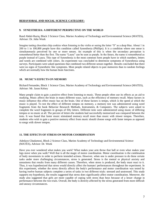### **BEHAVIORAL AND SOCIAL SCIENCE CATEGORY:**

### **9. SYNESTHESIA: A DIFFERENT PERSPECTIVE ON THE WORLD**

Rand Abdul-Raziq, Block 3 Science Class, Marine Academy of Technology and Environmental Science (MATES), Advisor: Dr. John Wnek

Imagine tasting chocolate chip cookies when listening to the violin or seeing the letter "S" as a deep blue. About 1 in 200 to 1 in 100,000 people have this condition called Synesthesia (Phillips). It is a condition where one sense is simultaneously perceived by one or more senses. An example of this is when the secondary perception is remembered better then the first. The name "Laura" can be seen as purple. In the future, the name is remembered as purple instead of Laura. This type of Synesthesia is the most common form people have in which numbers, letters and words are combined with colors. An experiment was concluded to determine symptoms of Synesthesia using surveys. Participants were asked questions that combined two different senses together. Results concluded that there were no signs of Synesthetic like symptoms. Most people related objects to past memories than to random feelings which are normally how the human brain functions.

### **10. MUSIC'S EEFECTS ON MEMORY**

Richard Fernandes, Block 1 Science Class, Marine Academy of Technology and Environmental Science (MATES), Advisor: Mr. Jason Kelsey

Many people claim to gain a positive effect from listening to music. These people often use its effects as an aid to studying. Music affects the brain in many different ways, such as the efficiency of memory recall. Many factors in music influence this effect music has on the brain. One of these factors is tempo, which is the speed at which the music is played. To test the effect of different tempos on memory, a memory test was administered using word fragments from the book Behavior Research Methods, Instruments, & Computers. The subjects were asked to complete the word fragments in groups of fifty letters. Different tests were administered using music of differing tempos or no music at all. The percent of letters the students had successfully memorized was compared between the tests. It was found that faster music stimulated memory recall more than music with slower tempos. Therefore, students who wish to gain a positive memory effect from music should choose songs with faster tempos as opposed to songs with slower tempos.

### **11. THE EFFECTS OF STRESS ON MOTOR COORDINATION**

Adedayo Gbadamosi, Block 2 Science Class, Marine Academy of Technology and Environmental Science (MATES), Advisor: Dr. Wnek

Have you ever wondered what makes you work? What makes your arm throw that ball or even what makes your legs move when you walk? Well that is all the magic of motor coordination. Motor coordination is the combination of body movements in order to perform intended actions. However, when one is under pressure to do these certain tasks under more challenging circumstances, stress is generated. Stress is the mental or physical anxiety and uneasiness that results from many different causes. Therefore, when stress is produced, the body must react to it. Thus, it was hypothesized that stress would directly affect the humans' performances throughout the experiment. In this experiment, whether the stress directly affects the body's performance and motor coordination was tested by having twelve human subjects complete a series of tasks in two different trials: stressed and unstressed. This study supports my hypothesis, the results suggested that stress does significantly affect motor coordination. Moreover, the study also suggested that girls are more capable of coping with stress than boys because of a lesser change in performance between the two trials. Overall, the body is directly affected by the stress generated from more difficult and uneasy circumstances.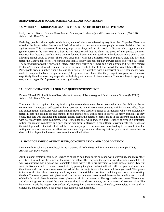### **BEHAVIORAL AND SOCIAL SCIENCE CATEGORY (CONTINUED):**

### **12. WHICH AGE GROUP AND GENDER POSSESSES THE MOST COGNITIVE BIAS?**

Libby Hoefler, Block 3 Science Class, Marine Academy of Technology and Environmental Science (MATES), Advisor: Mr. Dave Werner

Each day, people make a myriad of decisions, some of which are affected by cognitive bias. Cognitive Biases are mistakes the brain makes due to simplified information processing that cause people to make decisions that go against reason. This study tested three age groups, of ten boys and ten girls each, to discover which age group and gender possesses the most cognitive bias. It was hypothesized that the oldest age group of men possess the most cognitive bias because they had more time to develop biases and men tend to make decisions more quickly thus allowing mental errors to occur. There were three trials, each for a different type of cognitive bias. The first trial tested the Bandwagon effect. The participants took a survey that had popular answers listed below the questions. The second trial tested the Anchoring Effect. Participants picked one Easter egg from a group of differently colored Easter eggs, some of which contained a prize or were cracked. The last trial tested The Availability Heuristic. Participants drew a number from a hat and then answered a question with a numerical answer. Bar graphs were made to compare the biased responses among the groups. It was found that the youngest boy group was the most cognitively biased because they responded with the highest number of biased answers. Therefore, boys in age group one, which is ages 11-17, possess the most cognitive bias.

### **13. CONCENTRATION IN LOUD AND QUIET ENVIRONMENTS**

Brooke Minotti, Block 4 Science Class, Marine Academy of Technology and Environmental Science (MATES), Advisor: Mr. David Werner

The automatic assumption of many is that quiet surroundings mean better work ethic and the ability to better concentrate. The question addressed in this experiment is how different environments and distractions affect focus and concentration. Flashcards with basic multiplication were used for a range of participants who were individually tested in both the settings for one minute. In this minute, they would need to answer as many problems as they could. The data was organized into different tables, seeing the percent of errors made in the different settings along with how many total were completed. It was concluded that while there is a larger chance of error in a distracted setting, the amount completed and pace had no significant difference in the different environments. The results of the trial depended on the individual and there own unique preferences and reactions, leading to the conclusion that setting and environment does not affect everyone in a single way, and showing that the type of environment has no direct relationship to the focus and concentration of all individuals.

### **14. HOW DOES MUSIC AFFECT SPEED, CONCENTRATION AND COORDINATION?**

Devin North, Block 4 Science Class, Marine Academy of Technology and Environmental Science (MATES) Advisor: Mr. Dave Werner

All throughout history people have listened to music to help them focus on schoolwork, exercising, and many other activities. It is said that the tempo of the music can affect efficiency and the speed at which a task is completed. It was hypothesized that a person will complete a task faster if they are listening to quick, upbeat music. Ten test subjects, five male and five female, were tested by playing the game Perfection® with different genres of music and their times and observations were recorded. All of the test subjects were fourteen or fifteen years old. The genres tested were classical, dance, country, and heavy metal. Each trial done was timed and line graphs were made relating the data. The results prove that upbeat music, such as dance music, does indeed decrease the time it takes to put all of the Perfection® pieces into their correct places and aid in concentration. The hypothesis was correct. The country and classical genres increased the time because they have slower tempos, but also increased concentration. The heavy metal made the subject more unfocused, causing their time to increase. Therefore, to complete a task quickly, efficiently, and attentively, a song with a high tempo is recommended.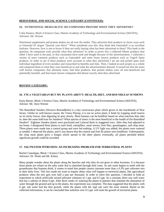### **BEHAVIORAL AND SOCIAL SCIENCE CATEGORY (CONTINUED):**

### **15. NUTRITIONAL MEDIA BLITZ: DO COMPANIES PROVIDE WHAT THEY ADVERTISE?**

Colin Panarra, Block 4 Science Class, Marine Academy of Technology and Environmental Science (MATES), Advisors: Mr. Werner

Nutritional supplements and protein shakes are all over the media. They advertise their products in clever ways such as Gatorade's® slogan "Quench your thirst." When somebody sees this, they think that Gatorade® is an excellent hydrator. However, how is one to know if they are really buying what has been advertised to them? This leads to the question, do companies truly provide what they advertise? In order to prove this I collected fifteen products that either I have used in the past, or that classmates have used and bought because of the advertisements. I collected a variety of more common products such as Gatorade® and some lesser known products such as Vega® Sport products. In order to see if these products were accurate to what they advertised I set out and picked apart each individual ingredient of every product and researched its benefits and risks. Then, I looked at each project as a whole and compared them to what they were beneficial to and what the advertisements showed. It turned out that the more well known companies, that advertise more, had false products, that protein shakes were all non-beneficial and potentially harmful, and that lesser known companies did almost exactly what they advertised.

### **BOTANY CATEGORY:**

### **16. I'M A VEGETARIAN BUT MY PLANTS AREN'T: HEALTH, DIET, AND ROUNDLEAF SUNDEWS**

Kaity Baxter, Block 3 Science Class, Marine Academy of Technology and Environmental Science (MATES), Advisor: Mr. Dave Werner

The Roundleaf Sundew *(Drosera Rotundifolia)* is a tiny carnivorous plant which grows in the marshlands of New Jersey. Unlike its well-known cousin, the Venus Flytrap, it is not an active plant; it feeds by trapping small insects on its sticky leaves, then digesting its prey slowly. Most humans can be healthier based on what nutrition they take in; does the same hold true for Sundews? What species of insect is the most beneficial to the health of the Roundleaf Sundew? Eighteen Sundew plants were purchased and I placed them in staggered rows. After they had adjusted to my home, I designated three plants to each food; caterpillars, meal worms, fruit flies, grasshoppers, and chop meat. Three plants were made into a control group and were fed nothing. A UV light was added; the plants were watered as needed. I observed the plants, and it was shown that the control and fruit fly plants were healthiest. Unfortunately, the chop meat plants grew a fungus which spread to the other plants; eventually, all plants perished before significant growth could be recorded.

### **17. SALTWATER INTRUSION: AN INCREASING PROBLEM FOR TERRESTRIAL PLANTS**

Rachel Camaligan, Block 1 Science Class, Marine Academy of Technology and Environmental Science (MATES), Advisors: Dr. Wnek and Mr. Kelsey

Many people wonder about the plants along the beaches and why they do not grow in other locations. It is because those plants are reliant on the salty water that in absorbed through their roots. As salt water begins to meld with the groundwater that humans drink, it comes to mind that people cannot consume more than a 0.3% part saltwater mix in their daily lives. This fact made me want to inquire about what will happen to terrestrial plants, like agricultural products when the mix gets over half a part per thousand. In order to solve this question, I decided to hold an experiment in which artificially mixed saltwater solutions of 1 ppt. and 0.5 ppt. As a constant, there was well water that has a salinity of about 0 ppt. After three weeks of watering the plants in planters that simulate the absorption of water through the ground and up to the plants, the experiment was complete. The data suggested that the plants with 0 ppt. salt water had the best growth, while the plants with the 1ppt salt were the most stunted. Based on the collected information, it can be concluded that salinities over 0.5 ppt. will stunt the growth of terrestrial plants.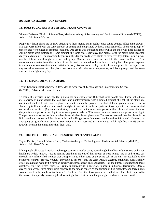### **18. DOES SOUND ACTIVITY AFFECT PLANT GROWTH?**

Vincent DeRoma, Block 1 Science Class, Marine Academy of Technology and Environmental Science (MATES), Advisor: Mr. David Werner

People say that if plants are to grow better, give them music. But in reality, does sound activity affect plant growth? Six cups were filled with the same amount of potting soil and planted with two Impatien seeds. These two groups of three plants were placed in separate locations. One group was exposed to music while the other was kept in silence. All the plants were watered the same amount, the same time every day. The heights of these plants were recorded daily in a data table. The recording began from the day the seeds were plants to forty five days later. Each cup was numbered from one through three for each group. Measurements were measured to the nearest millimeter. The measurements started from the surface of the dirt, and it extended to the surface of the top leaf. The group exposed to music underwent constant sound activity for forty five consecutive days, while the other group did not experience any sound whatsoever. All the plants had locations with the same temperature, and both groups had the same amount of sunlight every day.

### **19. TO SHADE, OR NOT TO SHADE**

Taylor Donovan, Block 2 Science Class, Marine Academy of Technology and Environmental Science (MATES), Advisor: Mr. Jason Kelsey

To many, it is general knowledge that plants need sunlight to grow. But, what some people don't know is that there are a variety of plant species that can grow and photosynthesize with a limited amount of light. These plants are considered shade-tolerant. Since a plant is a plant, it must be possible for shade-tolerant plants to survive in no shade, right? If you said yes, you would be right- to an extent. In this experiment three separate trials were carried out in which Impatiens *(Impatiens wallerina)*, a shade tolerant species, was grown in three different ways. Some of the plants were grown in full light, some were grown under a 50% shade cloth, and some were grown in no light. The purpose was to see just how shade-tolerant shade-tolerant plants are. The results revealed that the plants in no light could not survive, and the plants in full and half-light were able to sustain themselves fairly well. However, by averaging out growth rates by using stem widths, it was observed that the plants in full light had a 0.2% greater growth rate than the plants in the half-light trial.

### **20. THE EFFECTS OF CIGARETTE SMOKE ON PLANT HEALTH**

Taylor Furbish, Block 4 Science Class, Marine Academy of Technology and Environmental Science (MATES), Advisor: Mr. Dave Werner

Many people all across America smoke cigarettes on a regular basis, even though the effects of the smoke on human health are widely known. Just as humans breathe in and out of their mouth or nose, plants take in and release gas through tiny holes called stomata that transport air to other parts of the plant cell. If the only air available to the plants was cigarette smoke, wouldn't they have to absorb it into the cell? And, if cigarette smoke has such a deadly effect on humans, wouldn't it have an equally dangerous effect on plant health? For the purpose of answering these questions, nine Jack Frost Brunnera (*Brunnera macrophylla*) plants were placed in individual terrariums. Once a day for four weeks, three plants were exposed to the smoke caused by the burning of five cigarettes, and three plants were exposed to the smoke of ten burning cigarettes. The other three plants were left alone. The plants exposed to the smoke died quickly, mirroring the devastating effects that the smoking of cigarettes has on human health.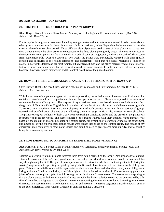### **21. THE EFFECT OF ELECTROLYTES ON PLANT GROWTH**

Khari Harper, Block 1 Science Class, Marine Academy of Technology and Environmental Science (MATES), Advisor: Mr. Dave Werner

Plants require basic growth parameters including sunlight, water and nutrients to be successful. Also, minerals and other growth regulators can facilitate plant growth. In this experiment, Indoor Paperwhite bulbs were used to test the effect of electrolytes on plant growth. Three different electrolytes were used on sets of three plants each to see how they change the way the plant grows in comparison to the three plants getting only water. The electrolytes used in the experiment were: potassium from an emulsion made of bananas, magnesium, and calcium both of which came from supplement pills. Over the course of five weeks the plants were periodically watered with their specific solution and measured to see height difference. The experiment found that the plants receiving a solution of magnesium grew the tallest and the most rapidly, but at different times, and the plants receiving water didn't grow as fast or as much as magnesium, but all grew at around the same amount. In potassium and calcium no plants bloomed; however, in both magnesium and the control two-thirds of the plants bloomed.

### **22. HOW DIFFERENT CHEMICAL SUBSTANCES AFFECT THE GROWTH OF** *Hedera helix*

Chris Hartley, Block 4 Science Class, Marine Academy of Technology and Environmental Science (MATES), Advisor: Mr. Dave Werner

With the increase of air pollutant types into the atmosphere (i.e., car emissions) and increased runoff of water that contains contaminants from companies and homes that get into the soil. Plants are exposed to a number of substances that may affect growth. The purpose of my experiment was to see how different chemicals would affect the growth of *Hedera helix,* or English Ivy. I hypothesized that the nitric oxide group would have the most growth. To research my hypothesis, I set up a control group watered with purified water and four experimental groups watered with purified water plus one of the following chemicals: sugar, nitric oxide, nitrogen, or rock phosphate. The plants were given 16 hours of light a day from two sunlight-simulating bulbs, and the growth of the plants was recorded weekly for six weeks. The successfulness of the groups watered with their chemical-water mixtures was based off the amount of growth in relation the control group. My hypothesis was proven wrong by the experiment, but almost all off the experimental groups results were higher than those of the control group. The results of my experiment may carry over to other plant species and could be used to grow plants more quickly, and to possibly bring them to maturity quicker.

### **23. FROM SPROUTING TO MATURITY: IS THERE STILL MORE VITAMIN C?**

Alexa Ornstein, Block 3 Science Class, Marine Academy of Technology and Environmental Science (MATES), Advisors: Mr. Dave Werner & Dr. John Wnek

Vitamin C, a crucial vitamin in plants, protects them from being harmed by the ozone. Also important to humans, vitamin C is consumed through many plant materials every day. But what if more vitamin C could be consumed this way through a regular diet? The goal of this experiment was to determine whether or not using vitamin C during the soaking stage of alfalfa sprouting (a quick growing plant), would have transferred the vitamin to the full grown plant. This test uses alfalfa as a possible representative plant to other plants and what they could yield at full growth. Using a vitamin C indicator solution, of which a lighter color indicated more vitamin C absorbance by plants, the juices of nine mature plants, (six of which were grown with vitamin C) were tested. The results were surprising in that the plants treated with the most vitamin C turned out with the darkest solution color and the ones treated by only filtered water had the lightest colors. Quantitative results supporting these results were found by testing for the color difference in a spectrometer at wavelengths of 620 nm and 410 nm. The results suggested a trend somewhat similar to the color difference. Thus, vitamin C uptake in alfalfa must have a threshold.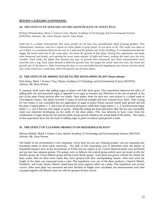### **24. THE EFFECTS OF SEED SIZE ON THE GROWTH RATE OF SWEET PEAS**

Brittney Ploumitsakos, Block 1 Science Class, Marine Academy of Technology and Environmental Science (MATES), Advisors: Mr. Dave Werner and Dr. John Wnek

Seed size is a simple characteristic that many people do not take into consideration when planting gardens. This characteristic; however, may be a reason for these plants to grow faster, or not grow at all. This study was done to see if there is a correlation between the size of a seed and the growth rate of the seedlings. It is hypothesized that the bigger the initial seed size of the sweet peas, the faster the growth of that plant. During this experiment, ten seeds were measured and tested, each getting the exact same amount of light and water, making the seed sizes the only variable. Each week, the plants that showed any type of growth were measured, and those measurements were recorded into a log. Each plant showed a different growth rate: the larger the initial seed size was, the faster the growth rate of the plant is. After reviewing the data, it was concluded that the hypothesis was correct, and the initial size of the sweet pea's seeds does affect the growth rate of these plants.

### **25. THE EFFECTS OF ADDING SUGAR TO THE DEVELOPING PLANT** *Pisum sativum*

Nick Roma, Block 1 Science Class, Marine Academy of Technology and Environmental Science (MATES), Advisor: Mr. Dave Werner

A common myth states that adding sugar to plants will help them grow. This experiment observed the effect of adding both raw and processed sugar as opposed to no sugar to measure any difference in the rate of growth or the size of the plant *Pisum sativum* after two weeks. Nine plants, three for each test, were placed in a closed room at 19.0 degrees Celsius. The plants received 12 hours of artificial sunlight and were watered twice, daily. After testing for two weeks, it was concluded that the application of sugar to plants *Pisum sativum* would stunt growth and kill the plant. Control plants 1, 2, and 3 had all sprouted and grown while Raw Sugar plants 1, 2, 3, and Processed Sugar plants 1, 2, and 3 had not even begun to sprout. While discarding the dead specimens after the test was concluded, mold was observed developing on the seeds of the dead plants. This was believed to have come from the combination of sugar being left out and the plants dying and not related to the actual death of the plants. The results of this experiment show that the myth of adding sugar to plants to induce rapid growth is false.

### **26. THE EFFECT OF CLEANING PRODUCTS ON HOUSEHOLD PLANTS**

Merissa Shebell, Block 3 Science Class, Marine Academy of Technology and Environmental Science (MATES), Advisor: Mr. Dave Werner

The health of our environment is very important. Every time you use any cleaning product, you are exposing your household plants to these harsh chemicals. The goal of this experiment was to determine what the impact of household cleaners were on the environment or if they had any impact at all. Twelve identical plants were purchased and put into four separate groups. The groups were as follows: the control group (which were not tested at all), the Windex group, the Clorox Bleach group and the Green Works group. Each plant was grown without the cleaner for three weeks, then for three more weeks they were sprayed with their corresponding cleaner. After each week the height of the plant was measured using a ruler. The hypothesis was, out of the three products; Clorox® Bleach, Windex®, and Green Works, Bleach would have the most negative affect on a plant. This hypothesis was proven correct. After each plant was measured and their declines in height were calculated, the measurements were then averaged together and Bleach came out with the greatest decline overall.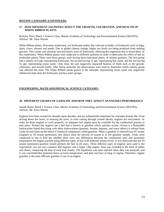### **27. HOW DIFFERENT SALINITIES AFFECT THE GROWTH, COLORATION, AND HEALTH OF WHITE RIBBON PLANTS**

Brittany Thiel, Block 3 Science Class, Marine Academy of Technology and Environmental Science (MATES), Advisor: Mr. Dave Werner

White Ribbon plants, *Dracaena sanderiana,* are freshwater plants that cultivate in bodies of freshwater such as bogs, lakes, rivers, streams and ponds. Due to global climate change, higher sea levels are being produced from melting glaciers. This causes salt intrusion into previously areas of freshwater, affecting the vegetation that is found there. In this experiment, White Ribbon plants were subjected to different salinities in order to determine the effect of salt on freshwater plants. There were three groups, each having three individual plants, of salinity qualities. The first group had a salinity of 0 ppt. representing freshwater, the second having 25 ppt. representing bay water, and the last having 35 ppt. representing ocean water. Over time, the salt negatively impacted features of them such as the growth, coloration, and overall health. After being analyzed, the observations were used to determine which salinity group was affected the most. The White Ribbon plants grown in the saltwater representing ocean water was negatively influenced more than the freshwater and bay water groups.

### **ENGINEERING, MATH AND PHYSICAL SCIENCE CATEGORY:**

### **28. DIFFERENT GRADES OF GASOLINE AND HOW THEY AFFECT AN ENGINES PERFORMANCE**

Joseph Burns, Block 1 Science Class, Marine Academy of Technology and Environmental Science (MATES), Advisor: Mr. Dave Werner

Engines have been around for decades upon decades, and are substantially important for everyday human life. From driving down the street, to mowing the lawn, to even cutting through cement blocks, engines are everywhere In order for these engines to work properly, an adequate fuel supply must be available for the combustion process to take place. Present day engines use a fuel that is known as gasoline which contains octane. Octane is a flammable hydrocarbon liquid that along with other hydrocarbons (pentane, hexane, heptane, and many others) is refined from crude oil and make up the blend of chemical components called gasoline. When a gasoline is referred to as 87 octane (regular) or 93 octane (premium), this shows what the percent of octane is in the gasoline sample. Trials were conducted to test to find out whether there were any differences between the combustion rates and maximum temperature the engine reached using different types of fuel with different octane levels. It was theorized that the 93 octane (premium) gasoline would perform the best in all cases. Three different types of engines were used in the experiment; two are very common 4hp engines, and a larger 13hp engine. Data was recorded in the form of tables and charts, comparing the data of each trial closely. The hypothesis was later rejected when data was analyzed, and it was concluded that premium burns at lower temperature, and does not burn as long as regular. Therefore, regular gasoline is the most efficient gasoline to use in an engine.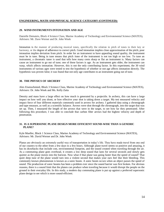### **ENGINEERING, MATH AND PHYSICAL SCIENCE CATEGORY (CONTINUED):**

### **29. WIND INSTRUMENTS INTONATION AND AGE**

Danielle Demateis, Block 4 Science Class, Marine Academy of Technology and Environmental Science (MATES), Advisors: Mr. Dave Werner and Dr. John Wnek

Intonation is the manner of producing musical tones, specifically the relation in pitch of tones to their key or harmony, or the degree of adherence to correct pitch. Good intonation implies close approximation of the pitch; poor intonation implies deviation from pitch. In order for an instrument to have appealing sound quality, the instrument must be in tune. Being in tune means that pitch /tone of the instrument is not too high or too low. To tune an instrument, a chromatic tuner is used that tells how many cents sharp or flat an instrument is. Many factors can cause an instrument to go out of tune; one of these factors is age. As an instrument gets older, the instrument can warp, which affects intonation. However, this is not the only contributing factor. In this experiment, the 30 wind instruments of various ages were tested to test the hypothesis of whether or not age affects intonation directly. The hypothesis was proven false; it was found that not only age contributes to an instrument going out of tune.

### **30. THE PHYSICS OF ARCHERY**

Alex Eisenschmied, Block 3 Science Class, Marine Academy of Technology and Environmental Science (MATES), Advisors: Dr. John Wnek and Ms. Kelly Zatta

Density and mass have a large effect on how much is generated by a projectile. In archery, this can have a large impact on how well you shoot, or how effective your shot is taking down a target. My test measured velocity and impact force of four different materials commonly used in arrows for archery. I gathered data using a chronograph and tape measure, as well as a scientific balance. Arrows were shot through the chronograph, into the target that was set up. Then, I measured the length of the arrows that were in the target, to see how far they penetrated. After following this procedure, I was able to conclude that carbon fiber arrows had the highest velocity and depth of penetration.

### **31. IS A SUPERSONIC PLANE DESIGN MORE EFFICIENT SOUND-WISE THAN A GENERIC PLANE?**

Kyle Mueller, Block 1 Science Class, Marine Academy of Technology and Environmental Science (MATES), Advisors: Mr. David Werner and Dr. John Wnek

Planes are obviously an extremely useful way of transportation in today's life. They have made travel from one end of our country to the other from a few days to a few hours. Although plane travel seems so positive and amazing, it has its drawbacks that include cost, environmental footprint, and the sound created when traveling through the air. As a commuting plane goes overhead, it creates a low deep sound that lasts for several seconds and slowly gets quieter as the plane moves into the horizon. Now what if that plane was going faster than the speed of sound? That quiet deep tune of the plane would turn into a violent second that makes your ears feel like their bleeding. This commonly known phenomenon is known as a sonic boom. A sonic boom occurs when an object passes the speed of sound. The production of sonic booms has been a problem ever since the sound barrier was first broken. For obvious reasons, there is a sound limit that the planes can produce when traveling because it would disrupt the people on the ground in their everyday life. In this study, a modern day commuting plane is put up against a preferred supersonic plane design to see which is more sound-efficient.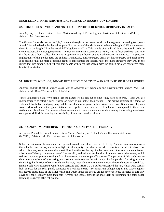### **ENGINEERING, MATH AND PHYSICAL SCIENCE CATEGORY (CONTINUED):**

### **32. THE GOLDEN RATION AND ITS EFFECT ON THE PERCEPTION OF BEAUTY IN FACES**

Julia Myrovych, Block 1 Science Class, Marine Academy of Technology and Environmental Science (MATES), Advisor: Mr. Dave Werner

The Golden Ratio, also known as "phi," is found throughout the natural world. a line segment connecting two points A and B is said to be divided by a third point P if the ratio of the whole length AB to the length of AP is the same as the ratio of the length AP to the length PB" ("golden ratio" 1). This ratio is often utilized in architecture in order to create aesthetically pleasing structures. The Renaissance man, Leonardo Da Vinci, was so fascinated with this ratio that he wrote a book called the Divine Proportion in the honor of this mathematical relationship. The practical implications of this golden ratio are endless; architecture, plastic surgery, dental aesthetic surgery, and much more. Is it possible that the more a person's features approximate the golden ratio, the more attractive they are? In the survey that was conducted, the theory that people with faces that approximate the golden ratio are considered more beautiful was tested.

### **33. DID THEY WIN? ...OR, DID WE JUST RUN OUT OF TIME? – AN ANALYSIS OF SPORTS SCORES**

Andrew Pidduck, Block 3 Science Class, Marine Academy of Technology and Environmental Science (MATES), Advisors: Mr. Dave Werner and Dr. John Wnek

Vince Lombardi's claim, "We didn't lose the game; we just ran out of time," may have been true. How well are sports designed to select a winner based on superior skill rather than chance? This project explored the games of volleyball, basketball, and ping pong and the role that chance plays in their winner selection. Simulations of games were performed, and actual game statistics were gathered and reviewed. Results were compared to theoretical statistical explanations. Recommendations were made to improve methods for determining the winning team based on superior skill while reducing the possibility of selection based on chance.

### **34. COASTAL WEATHERING EFFECTS ON SOLAR PANEL EFFICIENCY**

Jacqueline Poglodek, Block 1 Science Class, Marine Academy of Technology and Environmental Science (MATES), Advisors: Mr. Dave Werner and Dr. John Wnek

Solar panels increase the amount of energy used from the sun, thus conserve electricity. A common misconception is that all solar panels always absorb sunlight at full capacity. But what about when there is a coastal rain shower, or when it is breezy on an autumn afternoon? How does the weathering of solar panels and other environmental factors affect the efficiency of the solar panel? Leaves, dirt, and salt can get build up in the corners of the panels, which reduces and/or or prevents sunlight from illuminating the entire panel's surface. The purpose of this study was to determine the effects of weathering and seasonal variations on the efficiency of solar panels. By using a model simulating the function of solar panels on the roof, I was able to vary the conditions the panels were exposed (i.e., simulate salt water exposure, wind-blown particles, and leaves). UVB bulbs represented the sun, which were used as light sources for the solar panel, connected to a voltage meter. By comparing voltage output, this study suggests that leaves block most of the panel, while salt water limits the energy usage; however, loose particles of dirt only cover the panel slightly more than salt. Overall the leaves prevent the most light to illuminate the solar panel, lessening its energy efficient quality.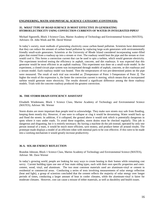### **ENGINEERING, MATH AND PHYSICAL SCIENCE CATEGORY (CONTINUED):**

### **35. WHAT TYPE OF ROAD SURFACE IS MOST EFFECTIVE IN GENERATING HYDROELECTRICITY USING CONVECTION CURRENTS OF WATER IN INTEGRATED PIPES?**

Michael Signorelli, Block 3 Science Class, Marine Academy of Technology and Environmental Science (MATES), Advisors: Dr. John Wnek and Mr. David Werner

In today's society, most methods of generating electricity cause carbon-based pollution. Scientists have determined that they can reduce the amount of carbon based pollution by replacing large-scale generators with environmentally friendly small-scale generators. Scientists at the University of Rhode Island considered incorporating water-filled pipes that extend from a roadway up into a stream or river. The roadway would heat the pipe and the stream or river would cool it. This forms a convection current that can be used to spin a turbine, which would generate electricity. The experiment involved testing the efficiency in asphalt, concrete, and dirt roadways. It was expected that this generator would be most efficient in an asphalt roadway. This experiment was done on a small-scale model. In the experiment, a closed-circuit pipe system was incorporated through models of asphalt, concrete, or dirt roadways and a stream model. Each roadway model was heated. Then the temperatures of two pre-determined points on the pipe were measured. The result of each trial was recorded as: **|**Temperature of Point 1-Temperature of Point 2**|**. The higher the result of the expression is, the faster the convection current is moving, which means that an incorporated turbine would generate more electricity. The results showed a significant difference among the three roadway models. Trials with the concrete roadway produced the greatest convection.

### **36. THE STORM DRAIN EFFICIENCY ASSISTANT**

Elisabeth Wiedemann, Block 1 Science Class, Marine Academy of Technology and Environmental Science (MATES), Advisor: Mr. Werner

Storm drains are more important than people tend to acknowledge. They make sure streets stay safe from flooding, keeping them mostly dry. However, if one were to collapse or clog it would be devastating. Water would back up and flood the streets. In addition, if it collapsed, the ground above it would sink which is potentially dangerous in spots where it runs under roads. To avoid these tragedies, storm drains must be checked regularly. This job is dangerous and disgusting, but it is entirely necessary. By having a machine do the job instead, operated by only one person instead of a team, it would be much more efficient, save money, and produce better all around results. The prototype made displays a model of an efficient robot with minimal parts to be cost effective. If this were to be made into a working mechanism it would greatly increase productivity.

### **36-A. SOLAR ENERGY REFLECTION**

Brandon Johnson, Block 1 Science Class, Marine Academy of Technology and Environmental Science (MATES), Advisor: Mr. Dave Werner

In today's growing world, people are looking for easy ways to create heating in their homes while remaining cost savvy. Current building types use one of four main siding types, each with their own specific properties and costs: cement, wood, vinyl, and aluminum. The two most common materials used are aluminum-vinyl or cement in residential or commercial areas. Conducting a series of tests involving measurements of solar energy reflection (heat and light), a group of scientists concluded that the cement reflects the majority of solar energy over longer periods of times, conducting a larger amount of heat in cooler climates, while the aluminum-vinyl is fairer for moderate climates. However, cost can cause a misuse of either materials, as well as durability and health issues.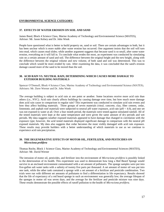### **ENVIRONMENTAL SCIENCE CATEGORY:**

### **37. EFFECTS OF WATER EROSION ON SOIL AND SAND**

James Bond, Block 4 Science Class, Marine Academy of Technology and Environmental Science (MATES), Advisor: Mr. Jason Kelsey and Dr. John Wnek

People have questioned what is better to build property on, sand or soil. There are certain advantages to both, but it has been unclear which is more stable after water erosion has occurred. One argument insists that the soil will turn into mud, which causes mud slides; while another argument suggests that because sand is so small, after some water erosion, everything on it will fall in. To conclude what erodes the most, an experiment was conducted by simulating rain on a certain amount of sand and soil. The difference between the original height and the new height, along with the difference between the original volume and new volume, of both sand and soil was determined. This was to conclude which would be more eroded by rain. After examining the data, it was concluded that the sand's erosion damage caused more of the sand to be moved than the soil.

### **38. ACID RAIN VS. NEUTRAL RAIN, DETERMINING WHICH CAUSES MORE DAMAGE TO EXTERIOR BUILDING MATERIALS**

Spencer O'Donnell, Block 4 Science Class, Marine Academy of Technology and Environmental Science (MATES), Advisors: Mr. Dave Werner and Dr. John Wnek

The average building is subject to acid rain at one point or another. Some locations receive more acid rain than others (i.e., NYC). Acid rain clearly affects buildings by causing damage over time, but how much more damage does acid rain cause in comparison to regular rain? This experiment was conducted to simulate acid rain events and how they affect building materials. Three groups of seven materials (vinyl, concrete, clay, fiber cement, cedar, limestone, and asphalt roof material) were subjected to neutral pH water exposure, acid rain (pH < 4.0), and one set was not exposed to water at all. Over a four month period, the materials were tested against simulated rainfall. All of the tested materials were kept at the same temperature and were given the same amount of dry periods and wet periods. My data suggests weather exposed materials appeared to have damage that changed in correlation with the exposure type; however, the acid tested materials displayed significant damage in comparison with the neutral pH exposed materials. My data also suggests that cedar becomes the most visibly damaged with acid rain exposure. These results may provide builders with a better understanding of which materials to use as we continue to experience acid rain precipitation.

### **39. THE DEGENERATIVE EFFECTS OF MOTOR OIL, FERTILIZER, AND PESTICIDES ON** *Microciona prolifera*

Thomas Roche, Block 1 Science Class, Marine Academy of Technology and Environmental Sciences (MATES), Advisor: Mr. David Werner

The intrusion of motor oil, pesticides, and fertilizer into the environment of *Microciona prolifera* is possibly linked to the deterioration of its health. This experiment was used to demonstrate how long a Red Beard Sponge would survive in an enclosed environment contaminated with a set amount of pollutants. The sponge samples were put into five-gallon salt water tanks with a salinity of twenty five parts per thousand. A set amount of motor oil was put into one tank, while the other tank contained a sponge with a set amount of a fertilizer and pesticide combination. Two trials were run with different set amounts of pollutants to find a differentiation in life expectancy. Results showed that the life of expectancy of a red beard sponge in such an environment was generally low; the average lifespan of the sponges in motor oil was seven days, and the average for the fertilizer and pesticide mixture was nine days. These results demonstrate the possible effects of runoff pollution to the health of *Microciona prolifera.*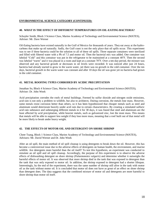### **ENVIRONMENTAL SCIENCE CATEGORY (CONTINUED):**

### **40. WHAT IS THE EFFECT OF DIFFERENT TEMPERATURES ON OIL-EATING BACTERIA?**

Schuyler Smith, Block 3 Science Class, Marine Academy of Technology and Environmental Science (MATES), Advisor: Mr. Dave Werner

Oil-Eating bacteria have existed naturally in the Gulf of Mexico for thousands of years. They eat away at the hydrocarbons that make up oil naturally. Sadly, the Gulf coast is not the only place that oil spills occur. This experiment was to see if these bacteria could be the solution to all of these oil spills. Three separate containers were sterilized and filled with filtered water with a Ph of 7.5 and motor oil. Then the bacterial mix was added. One container was labeled "Cold" and this container was put in the refrigerator to be maintained at a constant 40°F. Then the second was labeled "warm" and it was placed in a room and kept at a constant 70°F. Over a ten-day period, the mixture was observed and any bacterial growth or decreases in oil levels were recorded. It was noticed after just 24 hours, bacteria had already started to grow in the warm water, yet there was no growth in the cold container. Over the ten days, bacterial growth in the warm water was constant and after 10 days the oil was gone yet no bacteria had grown in the cold container. .

### **41. METAL ROOFING TYPES CORRODED BY ACIDIC PRECIPITATION**

Jonathan So, Block 4 Science Class, Marine Academy of Technology and Environmental Science (MATES), Advisor: Dr. John Wnek

Acid precipitation corrodes the roofs of metal buildings. Formed by sulfur dioxide and nitrogen oxide emissions, acid rain is not only a problem to wildlife, but also to architects. During corrosion, the metals lose mass. However, some metals resist corrosion better than others, so it has been hypothesized that cheaper metals such as steel and aluminum would deteriorate heavily under acid rain due to certain characteristics. By creating a simulated sulfuric acid rain substance and submerging different metals in it for 30 days, it was found that steel and aluminum are the least affected by acid precipitation, while heavier metals, such as galvanized zinc, lost the most mass. This means that metals will be able to support less weight if they lose more mass, meaning that a roof built out of that metal will be more likely to break under heavy weight.

### **42. THE EFFECTS OF MOTOR OIL AND DETERGENT ON SHORE SHRIMP**

Cheer Tsang, Block 1 Science Class, Marine Academy of Technology and Environmental Science (MATES), Advisors: Mr. David Werner and Dr. John Wnek

After an oil spill, the main method of oil spill cleanup is using detergents to break down the oil. However, this has become a controversial issue due to the adverse effects of detergents on human health, the environment, and marine wildlife. Are detergents more harmful than the oil itself? To test this hypothesis, an experiment was conducted to simulate an oil spill and oil spill cleanup. Accordingly, the purpose of this experiment is to observe the adverse effects of dishwashing detergent on shore shrimp (*Palaemonetes vulgaris*) and determine whether it outweighs the harmful effects of motor oil. It was observed that more shrimp died in the tank that was exposed to detergent than the tank that was only exposed to motor oil. In addition, the shrimp exposed to detergent had a shorter lifespan. Interestingly, by the end of the experiment, there was the same number of shrimp still alive in the tank with motor oil as the tank without motor oil. It is concluded that motor oil does not have as great of an effect on shore shrimp than detergent does. The data suggests that the combined mixture of motor oil and detergents are more harmful to shore shrimp than motor oil itself.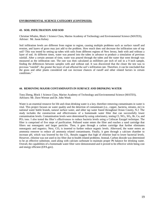### **ENVIRONMENTAL SCIENCE CATEGORY (CONTINUED):**

### **43. SOIL INFILTRATION AND SOD**

Christian Whalen, Block 1 Science Class, Marine Academy of Technology and Environmental Science (MATES), Advisor: Mr. Jason Kelsey

Soil infiltration levels are different from region to region, causing multiple problems such as surface runoff and erosion, and layers of grass may just add to the problem. How much does sod decrease the infiltration rate of top soil? This was tested by setting up tubes with soils from different regions of New Jersey, both with and without a layer of sod. At different times, water was poured into the tubes in advance to produce a simulation of previous rainfall. After a certain amount of time, water was poured through the tubes and the water that went through was measured as the infiltration rate. The rate was then calculated as milliliters per inch of soil in a 9 inch sample, finding the differences between samples with and without sod. It was discovered that the closer the test was to previous "rainfall", the greater the layer of sod affected the soil's infiltration rate. Therefore, it can be concluded that the grass and other plants considered sod can increase chances of runoff and other related factors in certain conditions."

### **44. REMOVING MAJOR CONTAMINANTS IN SURFACE AND DRINKING WATER**

Tony Zheng, Block 1 Science Class, Marine Academy of Technology and Environmental Science (MATES), Advisors: Mr. Dave Werner and Dr. John Wnek

Water is an essential resource for life and clean drinking water is a key, therefore removing contaminants in water is vital. This project focuses on water quality and the detection of contaminant (i.e., copper, bacteria, nitrates, etc) in national water bottle brands, natural surface water, and other tap water found throughout Ocean County, N.J. The study includes the construction and effectiveness of a homemade water filter that can successfully lower contamination levels. Contamination levels were determined by using colorimetry, testing Cl, NO<sub>3</sub>, SO<sub>4</sub>, Br, Cu, and PO<sub>3</sub> ions. I also tested the filter's effectiveness to reduce bacteria levels using a Coliscan Easygel technique. The filter is comprised of five steps of purification. Polluted water enters the filter and reaches a sand cartridge that filters out nonorganic and larger particles. Then, it goes through a carbon cartridge that further eliminates nonorganic and organics. Next, CO<sub>2</sub> is inserted to further reduce organic levels. Afterward, the water enters an ammonia remover to reduce all ammonia related contaminants. Finally, it goes through a calcium chamber to increase pH, which was lowered by the CO<sub>2</sub>. Results suggest that high of chlorine lead to lower bacterial levels. However, chlorine was not used in my filter due to health related problems. Instead, Carbon dioxide was determined to be an effective substitute, used along with calcium carbonate to maintain proper Ph balance for drinking water. Overall, the capabilities of a homemade water filter were demonstrated and it proved to be effective while being cost and energy efficient (EPA.gov).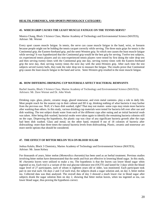### **HEALTH, FORENSICS, AND SPORTS PHYSIOLOGY CATEGORY:**

### **45. WHICH GRIP CAUSES THE LEAST MUSCLE FATIGUE ON THE TENNIS SERVE?**

Monica Chang, Block 3 Science Class, Marine Academy of Technology and Environmental Science (MATES), Advisor: Mr. Werner

Every sport causes muscle fatigue. In tennis, the serve can cause muscle fatigue in the hand, wrist, or forearm because people might not be holding the tennis racquet correctly while serving. The three main grips for tennis is the Continental grip, the Eastern-forehand grip, and the semi-Western grip. So which one causes the least muscle fatigue while serving? It was hypothesized that the Continental grip would be the best grip for serving. Twelve test subjects, six experienced tennis players and six non-experienced tennis players were tested by first doing the ruler drop test and then serving twenty times with the Continental grip one day, serving twenty times with the Eastern-forehand grip the next day, then serving twenty times the next day with the semi-Western grip. After each time the test subjects served twenty balls, they took the ruler drop test to measure the fatigue. The results prove that Continental grip causes the least muscle fatigue in the hand and wrist. Semi-Western grip resulted in the most muscle fatigue.

### **46. HOW DIFFERING DRINKING CUP MATERIALS AFFECT BACTERIAL REMNANTS**

Rachel Jasaitis, Block 3 Science Class, Marine Academy of Technology and Environmental Science (MATES), Advisors: Mr. Dave Werner and Dr. John Wnek

Drinking cups- glass, plastic, ceramic mugs, glazed stonewear, and even metal canteens- play a role in daily life. Most people reach for the nearest cup in their cabinet and fill it up, thinking nothing of what bacteria it may harbor from the previous use. Well, it's been dish washed, right? That may not matter- some cups may retain more bacteria after washing than others. In this study, various drinking cup materials were tested for bacteria left over after use and dish washing. The test subject drank water from each of the different cups after eating and an initial bacterial swab was taken. After being dish washed, bacterial swabs were taken again to identify the remaining bacteria colonies still on the cups. Disproving the hypothesis, the plastic cup was clear of any significant bacteria growth after the cups had been dish washed. Glass and metal, on the other hand, retained 8 out of 18 colonies of bacteria after dishwashing- more than three times the natural bacteria levels from dishwashing. Plastic, ceramic and stonewear are more sterile options that should be considered.

### **47. THE EFFECT OF BITTER MELON TEA ON BLOOD SUGAR**

Joshua Kalalo, Block 3 Chemistry, Marine Academy of Technology and Environmental Science (MATES), Advisor: Mr. Jason Kelsey

For thousands of years, bitter melon (*Momordica charantia*) has been used as an herbal treatment. Previous studies involving bitter melon have demonstrated that the seeds and fruit are effective in lowering blood sugar. In this study, *M. charantia* leaves were utilized to make a tea. The hypothesis is that the leaves can lower blood sugar when ingested as tea. Each trial is a variant of the oral glucose tolerance test (OGTT) and lasted for 3 days while the blood sugar level of 27 participants, each of whom is eighteen years old or older, was monitored. Each participant took part in one trial each. On days 2 and 3 of each trial, the subjects drank a sugar solution and, on day 3, bitter melon tea. Collected data was then analyzed. The overall data of day 3 showed a much lower rise in blood sugar after subjects drank the sugar solution then on day 2, showing that bitter melon leaves, when tea ingested as tea, can lower blood sugar, thus proving the hypothesis correct.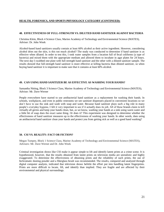### **HEALTH, FORENSICS, AND SPORTS PHYSIOLOGY CATEGORY (CONTINUED):**

### **48. EFFECTIVENESS OF FULL-STRENGTH VS. DILUTED HAND SANITIZER AGAINST BACTERIA**

Christina Klein, Block 4 Science Class, Marine Academy of Technology and Environmental Science (MATES), Advisor: Dr. John Wnek

Alcohol-based hand sanitizers usually contain at least 60% alcohol as their active ingredient. However, considering alcohol dries out the skin, is this too much alcohol? The study was conducted to determine if hand sanitizer is as effective when diluted. In order to test this, I took water samples from a location full of fecal coliforms (a type of bacteria) and mixed them with the appropriate medium and allowed them to incubate in agar plates for 24 hours. The next day I swabbed one plate with full-strength hand sanitizer and the other with a diluted sanitizer sample. The results showed that full-strength hand sanitizer is more effective at killing bacteria than diluted sanitizer, so when buying hand sanitizer it is important to make sure that it contains at least 60% alcohol.

### **49. CAN USING HAND SANITIZER BE AS EFFECTIVE AS WASHING YOUR HANDS?**

Samantha Nitting, Block 3 Science Class, Marine Academy of Technology and Environmental Science (MATES), Advisor: Mr. Dave Werner

People everywhere have started to use antibacterial hand sanitizer as a replacement for washing their hands. In schools, workplaces, and even in public restrooms we see sanitizer dispensers placed in convenient locations so we don't have to use the sink and wash with soap and water. Because hand sanitizer plays such a big role in many people's everyday hygiene, I felt it very important to see if it actually does its job. All of these brands claim to kill virtually all germs and keep your hands clean, but, as we know, washing your hands at a sink using warm water and a little bit of soap does the exact same thing. Or does it? This experiment was designed to determine whether the effectiveness of hand sanitizer measures up to the effectiveness of washing your hands. In other words, does using an antibacterial hand sanitizer clean your hands and protect you from getting sick as well as a good hand washing?

### **50. CSI VS. REALITY: FACT OR FICTION?**

Megan Tumpey, Block 1 Science Class, Marine Academy of Technology and Environmental Science (MATES), Advisors: Mr. Dave Werner and Dr. John Wnek

Criminal investigation shows like CSI make it appear simple to lift and identify latent prints at a crime scene. It is hypothesized, however, that the results obtained from latent prints on television media are unrealistic and highly exaggerated. To determine the effectiveness of obtaining prints and the reliability of such prints, the use of bichromatic dusting powder and a fiberglass brush was recommended. The results, compared and analyzed through digital computer analysis, indicated that television shows belittle the effort put into handling latent fingerprints. Prints are more difficult to locate, lift, and identify than implied. They are fragile and are affected by their environmental and physical surroundings.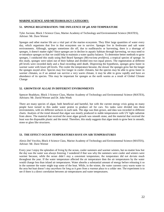### **MARINE SCIENCE AND METEOROLOGY CATEGORY:**

### **51. SPONGE REGENERATION: THE INFLUENCE OF pH AND TEMPERATURE**

Tyler Ascione, Block 3 Science Class, Marine Academy of Technology and Environmental Science (MATES), Advisor: Mr. Dave Werner

Sponges and other marine life are a vital part of the marine ecosystem. They filter large quantities of water every day, which organisms that live in that ecosystem use to survive. Sponges live in freshwater and salt water environments. Although, sponges sometimes die off, due to nudibranchs or harvesting, there is a shortage of sponges, it doesn't matter right? Since sponges are in decline in aquatic habitats through harvesting, we may need to re-introduce sponges so that we could help to maintain a water quality balance. To determine better methods to grow sponges, I conducted this study using Red Beard Sponges (*Microciona prolifera*), a tropical species of sponge. In this study, sponges were taken out of their habitat and divided into two equal pieces. The regeneration at different pH levels were recorded daily and a final recording until death. Disproving the hypothesis, sponges grew faster in warmer water with lower pH levels. The cooler the temperature became, the slower the sponges grew but the longer the sponges stayed alive. Species may live longer in cooler climates, but the species may be able to grow faster in warmer climates, so if an animal can survive a very warm climate, it may be able to grow rapidly and have an abundance of its species. This may be important for sponges as the earth warms as a result of Global Climate Change

### **52. GROWTH OF ALGAE IN DIFFERENT ENVIRONMENTS**

Spencer Bradshaw, Block 3 Science Class, Marine Academy of Technology and Environmental Science (MATES), Advisors: Mr. David Werner and Dr. John Wnek

There are many species of algae, both beneficial and harmful, but with the current energy crisis going on many people have turned to this under water protist to produce oil for cars. Six tanks were divided into three environments, with six different surfaces in each tank. The alga was then grown, and data was recorded in different charts. Analysis of the trend showed that algae was mostly produced in stable temperatures with UV light radiation from above. The material that received the most algae growth was smooth stone, and the material that received the least was the disposable plastic and the metal. Therefore, this study suggests that algae tends to grow best in smooth, stone or glass like structures.

### **53. THE EFFECT OCEAN TEMPERATURES HAVE ON AIR TEMPERATURES**

Alexis Del Vecchio, Block 4 Science Class, Marine Academy of Technology and Environmental Science (MATES), Advisor: Mr. Dave Werner

Every year I enjoy the splendors of living by the ocean, cooler summers and warmer winters, but no matter how hot the day was the water was always freezing. I wondered if that was why the summers were cooler and winters were warmer because, while the ocean didn't stay a consistent temperature, the temperature did not deviate much throughout the year. If the water temperature affected the air temperature then the air temperatures by the water would change less than inland air temperatures. Water absorbs a substantial amount of energy before releasing it so in the summer the water might trap some of the heat. While, in the winter, the water currents carry warm water to the area but heat doesn't stay anywhere for long as it goes from a warmer place to a colder one. The experiment is to see if there is a direct correlation between air temperatures and water temperatures.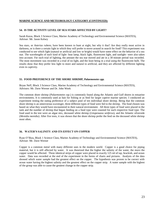### **MARINE SCIENCE AND METEOROLOGY CATEGORY (CONTINUED):**

### **54. IS THE ACTIVITY LEVEL OF SEA STARS AFFECTED BY LIGHT?**

Sarah Kuras, Block 3 Science Class, Marine Academy of Technology and Environmental Science (MATES), Advisor: Mr. Jason Kelsey

Sea stars, or *Asterias rubens,* have been known to hunt at night, but why it that? Are they really most active in darkness, or is there a certain light in which they will prefer to move around in search for food? This experiment was conducted to see which light (natural or artificial and low or bright) would have some effect on the behavior of a sea star. The wavelengths of each kind of light- heat lamp, black light, fluorescent light, and sunlight- were also taken into account. For each trial of lighting, the amount the sea star moved and ate in a 30 minute period was recorded. The most movement was recorded in a trial of no light, and the least being in a trial using the fluorescent bulb. The results show that they prefer less light to more and natural to artificial, and they are affected by different lighting even in captivity.

### **55. FOOD PREFERENCE OF THE SHORE SHRIMP,** *Palaemonetes spp.*

Bryan Neff, Block 3 Science Class, Marine Academy of Technology and Environmental Science (MATES), Advisors: Mr. Dave Werner and Dr. John Wnek

The common shore shrimp (*Palaemonetes ssp.*) is commonly found along the Atlantic and Gulf shores in estuarine environments. It is commonly used as bait for fishing or as feed for larger captive marine species. I conducted an experiment testing the eating preference of a subject pool of ten individual shore shrimp. Being that the common shore shrimp is an omnivorous scavenger, three different types of food were fed to the shrimp. The food chosen was based on what they would have encountered in their natural environment. All three types of food were placed in the tank and the number of shrimp that began feeding on a food type were counted for each respective food type. The food used in the test were an algae mix, deceased white shrimp (*Litopenaeus setiferus*), and the Atlantic silverside (*Menidia menidia*). After five tests, it was shown that the shore shrimp prefer the feed on the deceased white shrimp most often.

### **56. WATER'S SALINITY AND ITS EFFECT ON COPPER**

Ryan O'Shea, Block 1 Science Class, Marine Academy of Technology and Environmental Science (MATES), Advisor: Mr. Dave Werner

Copper is a common metal with many different uses in the modern world. Copper is a good choice for piping material, but it is still affected by water. It was theorized that the higher the salinity of the water, the more the copper would be affected. Three identical strips of copper were placed in exactly 125 ml of tap, brackish, and ocean water. Data was recorded at the end of the experiment in the forms of charts and pictures. Analysis of the data showed which water sample had the greatest effect on the copper. The hypothesis was proven to be correct with ocean water having the highest salinity and the greatest effect on the copper strip. A water sample with the highest of the group was able to cause the greatest change in the copper strip.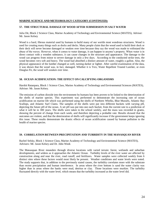### **MARINE SCIENCE AND METEOROLOGY CATEGORY (CONTINUED):**

### **57. THE STRUCTURAL DAMAGE OF WOOD AFTER SUBMERSION IN SALT WATER**

Julia Ott, Block 2 Science Class, Marine Academy of Technology and Environmental Science (MATES), Advisor: Mr. Jason Kelsey

Wood is a hard, fibrous material used by humans to build many of our worlds most wondrous structures. Wood is used for creating many things such as docks and decks. Many people claim that the wood used to build their dock or their deck will never become damaged or weaken over time because they say the wood was made to withstand the abuse of the waves. However, when it comes to water damage, it can happen to anyone's property. When water is in direct contact with a wooden substance, it can cause changes in the structure and appearance. The damage to the wood can progress from minor to severe damage in only a few days. According to the conducted strike tests, the wood becomes very soft and heavy. The wood had absorbed a distinct amount of water, roughly a gallon. Also, the physical appearance of the lumber changed as well, turning darker or lighter. After careful examination of the data, it was shown that the wood was, in fact, damaged. Whether it is Trex, Water Repellent Treated Lumber, or even Douglas Fir, the wood will weaken over time.

### **58. OCEAN ACIDIFICATION: THE EFFECT ON CALCIFYING ORGANISMS**

Harshit Ratanpara, Block 1 Science Class, Marine Academy of Technology and Environmental Sciences (MATES), Advisor: Mr. Jason Kelsey.

The emission of carbon dioxide into the environment by humans has been proven to be linked to the deterioration of the shells of marine species. This experiment was performed to demonstrate the increasing rate of ocean acidification on marine life which was performed using the shells of Northern Whelks, Blue Mussels, Atlantic Bay Scallops, and Atlantic Surf Clams. The samples of the shells were put into different buckets with varying pH, depicting the future pH of the ocean. A set pH was put into one each bucket, from the current rate to a prediction of what it will be in 300 years. The shells were taken to the school weekly, and the mass was recorded in grams, showing the percent of change from each week, and therefore depicting a probable rate. Results showed that the outcomes are violent, and that the deterioration of shells will significantly increase if the government keeps ignoring this issue. These results demonstrate the drastic effects of ocean acidification caused by human pollution to the health of marine species*.*

### **59. CORRELATION BETWEEN PRECIPITATION AND TURBIDITY IN THE MANASQUAN RIVER**

Rachel Selsky, Block 1 Science Class, Marine Academy of Technology and Environmental Science (MATES), Advisors: Mr. Jason Kelsey and Dr. John Wnek

The Manasquan River meanders through diverse locations with varied terrain: forest, wetlands and suburban developments, and widens as it approaches the Atlantic Ocean. Turbidity levels of the river water are affected by construction along and near the river, road runoff, and fertilizers. Water samples were collected weekly from 6 distinct sites where these factors would most likely be present. Weather conditions and water levels were noted. The study supports that, in addition to the previously stated causes, the turbidity correlates more with the substrate than recent precipitation and human interference. In areas where the river bottom is sand the water clarity was higher than in areas where the banks were mud, detritus or clay. Those locations were murkier. The turbidity fluctuated directly with the water level, which means that the turbidity increased as the water level did.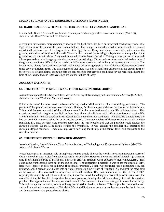### **MARINE SCIENCE AND METEOROLOGY CATEGORY (CONTINUED):**

### **60. HARD CLAM GROWTH IN LITTLE EGG HARBOR: 500 YEARS AGO AND TODAY**

Lauren Zodl, Block 1 Science Class, Marine Academy of Technology and Environmental Science (MATES), Advisors: Mr. Dave Werner and Dr. John Wnek

*Mercenaria mercenaria*, more commonly known as the hard clam, has been an important food source from Little Egg Harbor since the time of the Leni Lenape Indians. The Lenape Indians discarded unwanted shells in mounds called shell middens: one of the largest is in Little Egg Harbor. Every hard clam records information about the growing conditions of its time in its shell. The size of its annual growth ring is dependent on the quality of the growing season and will show if any environmental changes have affected it. Taking a cross section of the shell allows you to determine its age by counting the annual growth rings. This experiment was conducted to determine if the growing conditions differed for the hard clam 500+ years ago compared to the growing conditions of today. The height of the clams, from both time periods, was compared to its age to determine if the hard clams from different times grew at different rates. The data suggested that there was not a significant difference in the growth rates of these two sets of hard clams. From the data we can conclude that growing conditions for the hard clam during the time of the Lenape Indians 500+ years ago are similar to those of today.

### **ZOOLOGY CATEGORY:**

### **61. THE EFFECT OF PESTICIDES AND FERTILIZERS ON BRINE SHRIMP**

Joshua Camaligan, Block 4 Science Class, Marine Academy of Technology and Environmental Science (MATES), Advisors: Dr. John Wnek and Mr. David Werner

Pollution is one of the most drastic problems affecting marine wildlife such as the brine shrimp, *Artemia sp*. The purpose of this project was to test two common pollutants, fertilizer and pesticides, on the lifespan of brine shrimp. This would demonstrate which of the pollutants would be the most detrimental to the life of brine shrimp. This experiment could also begin to shed light on how these chemical pollutants might affect other forms of marine life. The brine shrimp were contained in three separate tanks under the same conditions. One tank had the fertilizer, one had the pesticide, and one had neither as it was the control. The same numbers of shrimp were in each tank, and the remaining live ones per tank were counted every hour. It was hypothesized that the pesticide would shorten the shrimp's lifespan the most. The results refuted the hypothesis. It was actually the fertilizer that shortened the shrimp's lifespan the most. It was also impressive how long the shrimp in the control tank lived compared to the rest of the shrimp.

### **62. THE EFFECTS OF BPA ON ROSY RED MINNOWS**

Jonathan Capalbo, Block 3 Science Class, Marine Academy of Technology and Environmental Science (MATES), Advisor: Mr. David Werner

Water bottles play an important role in supplying water to people all over the world. They are an important source of clean water when clean water from other sources is not available. However, they make leak Bisphenol A (a chemical used in the manufacturing of plastic that acts as an artificial estrogen when exposed to high temperatures). (This could come from leaving them out in the sun to long). The experiment I preformed was to see the effects of BPA from water bottles on rosy red minnows (Pimephales promelas). I took two controlled tanks containing rosy red minnows, added heated water bottles into one tank (stimulating the release of Bisphenol A), and kept the other tank as the control. I then observed the results and recorded the data. This experiment analyzed the effects of BPA regarding the mortality and behavior of the fish. It was concluded that adding low doses of BPA did not affects the mortality of the fish but did change their behavioral patterns, showing that while not deadly, it is still is a serious problem. The applications of this are, we should avoid BPA because of the excess estrogen it makes for our body. This will change our behavior patterns and may lead to serious health problems. This is a problem because humans and multiple animals are exposed to BPA daily. We should limit our exposure by not leaving water bottles in the sun and by not microwaving polycarbonate plastic.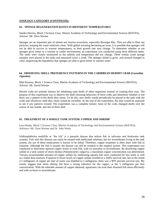### **ZOOLOGY CATEGORY (CONTINUED):**

### **63. SPONGE REGENERATION RATES IN DIFFERENT TEMPERATURES**

Sandra Herrera, Block 3 Science Class, Marine Academy of Technology and Environmental Science (MATES), Advisor: Mr. Dave Werner

Sponges are an important part of almost any marine ecosystem, especially Barnegat Bay. They are able to filter out particles, keeping the water relatively clean. With global warming becoming an issue, it is possible that sponges will not be able to survive in warmer temperatures, or their growth rate may change. To determine whether or not sponges grow better in a warmer or cooler environment, an experiment was conducted using three different tanks. The tanks were closely monitored so the salinity and temperature did not change. Three similar sized sponge samples were placed in the tanks and measured twice a week. The sponges failed to grow, and instead changed in color, disproving the hypothesis that sponges are able to grow better in warmer water.

### **64. OBSERVING SHELL PREFERENCE PATTERNS IN THE CARIBBEAN HERMIT CRAB (***Coenobita clypeatus)*

Matt Kenney, Block 1 Science Class, Marine Academy of Technology and Environmental Science (MATES), Advisor: Mr. David Werner

Hermit crabs are animals famous for inhabiting used shells of other organisms instead of creating their own. The purpose of this experiment was to observe the shell-choosing behaviors of three crabs and determine whether or not there was a pattern to the shells they chose. To do this, new shells would periodically be placed in the tank with the crabs and whichever shell they chose would be recorded. At the end of the experiment, the data would be analyzed to see if any patterns existed. The experiment was a complete failure: none of the crabs changed shells over the course of one month, and one of them died.

### **65. TREATMENT OF A WHOLE TANK SYSTEM: COPPER AND SHRIMP**

Lucy Kosty, Block 3 Science Class, Marine Academy of Technology and Environmental Science (MATES), Advisors: Mr. Dave Werner and Dr. John Wnek

Ichthyophthirius multifilis or "the Ich" is a parasitic disease that infects fish in saltwater and freshwater tank systems. Fish with this disease can easily be treated with medicated solutions, but for invertebrates living in the tank system, the use of these medications is known to be lethal. Therefore, copper treatment is often done with fish in isolation. Although the fish is treated, the disease can still be residual in the original system. This experiment was conducted to determine optimal copper levels to treat fish, with no mortality to invertebrates. By dissolving copper sulfate in a tank system of shore shrimp (*Palaemonetes vulgaris),* a maximum copper concentration was determined. Various recommended amounts of copper sulfate for medicating aquaria fish were conducted for one week as well as a lethal dose analysis. Exposure to lower levels of copper sulfate resulted in a 100% survival rate, but as the initial 2.5 milligrams of copper per liter of water was doubled to 5 milligrams, there was a 90% percent survival rate. My results suggest that shore shrimp did have a strong tolerance for the copper, at the 5 milligrams per liter concentration. With the tolerable amount of copper obtained, aquariums can treat their diseased fish more efficiently and with no harm to invertebrates.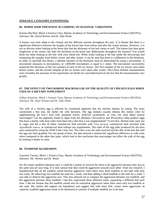### **ZOOLOGY CATEGORY (CONTINUED):**

### **66. HORSE HAIR THICKNESS ACCORDING TO SEASONAL VARIATIONS**

Katrina MacNeil, Block 4 Science Class, Marine Academy of Technology and Environmental Science (MATES), Advisors: Mr. David Werner and Dr. John Wnek

A horses coat must adapt to the climate and the different seasons throughout the year. It is blatant that there is a significant difference between the lengths of the horses hair from before and after the winter seasons. However, it is not as obvious when looking at the horse hair that the thickness of the hair varies as well. The horses hair does grow lengthwise in the winter, but does the thickness of the horse hair differentiate throughout the seasons? You would think not when looking at the hair with your naked eye. When really looking at the hair under the microscope and comparing the samples from before winter and after winter, it can be seen that there is a difference in the thickness. In order to conclude this theory, a definite measure of the thickness must be determined by using a micrometer. A micrometer measures in micrometers, or 1,000,000 micrometers is equal to 1 meter. The micrometer successfully measured the thickness of the two samples of each of the six horses. The first samples of the six horses were taken before winter, and the second samples of the six horses were taken after winter. Once these definite measurements were recorded, the outcome of the experiment can finally be concluded based on the fact that the measurements vary greatly.

### **67. THE EFFECT OF TWO MARINE MACROALGAE ON THE QUALITY OF CHICKEN EGGS WHEN USED AS A DIETARY SUPPLEMENT**

Gillian Schriever, Block 1 Science Class, Marine Academy of Technology and Environmental Science (MATES), Advisors: Mr. Dave Werner and Dr. John Wnek

The yolk of a chicken egg is affected by carotenoid pigments that the chicken obtains by eating. The more carotenoids a hen eats, the darker the yolk becomes. The egg industry usually obtains this darker color by supplementing the hen's feed with marigold leaves, artificial carotenoids, or corn, but what about marine macroalgae? Can the pigments found in algae from the phylums *Chlorophyta* and *Rhodophyta* help produce eggs that have a darker yolk than yolks from hens fed a diet that is not supplemented? To test this, thirteen hens were put in cages and fed a diet of either commercial feed enriched with *Ulva lactuca*, commercial feed enriched with *[Agardhiella](http://www.algaebase.org/search/?genus=Agardhiella) tenera,* or commercial feed without any supplements. The color of the egg yolks produced by the hens were analyzed by using the DSM Yolk Color Fan. The color score the yolk received and the diet of the hen that laid the egg was then graphed. For one group of hens, the data showed a statistically significant difference in yolk color when compared to the other diet types, which lead to the conclusion that macroalgae can affect the yolk of the egg by making it darker in color.

### **68. TOADFISH AGGRESSION**

Courtney Tierney, Block 1 Science Class, Marine Academy of Technology and Environmental Science (MATES), Advisors: Mr. Werner and Dr. Wnek

For the oyster toadfish (*Opsanus tau*), it could be a matter of survival for them to be aggressive because they stay in the same area all year long. It is only natural that they could be aggressive towards each other. From my research, I hypothesized that all the toadfish would become aggressive when there were three toadfish in one tank with only two rocks. By observing two toadfish the tank for a week, and then adding a third toadfish to the tank for a week, I was able to observe the aggressive acts. This also allowed me to compare the aggression between two toadfish, and the aggression between three toadfish. I did this experiment three different times, separating a different fish each time. I did not foresee that the toadfish would also be somewhat aggressive when there were only two toadfish in one tank. My studies did support my hypothesis and suggest that with more fish, comes more aggression. In captivity, toadfish aggression needs to be monitored in systems if multiple toadfish are to be kept.